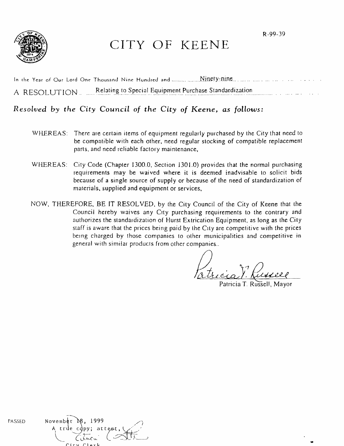



# CITY OF KEENE

| A RESOLUTION. | Relating to Special Equipment Purchase Standardization |
|---------------|--------------------------------------------------------|

## *Resolved by the City* Council of *the City* of *Keene, as follows:*

- WHEREAS: There are certain items of equipment regularly purchased by the City that need to be compatible with each other, need regular stocking of compatible replacement parts, and need reliable factory maintenance,
- WHEREAS: City Code (Chapter 1300.0, Section 1301.0) provides that the normal purchasing requirements may be waived where it is deemed inadvisable to solicit bids because of a single source of supply or because of the need of standardization of materials, supplied and equipment or services,
- NOW, THEREFORE, BE IT RESOLVED, by the City Council of the City of Keene that the Council hereby waives any City purchasing requirements to the contrary and authorizes the standardization of Hurst Extrication Equipment, as long as the City staff is aware that the prices being paid by the City are competitive with the prices being charged by those companies to other municipalities and competitive in general with similar products from other companies ..

II, in D. Russ

..

| PASSED | November $\aleph$ , 1999        |
|--------|---------------------------------|
|        | A true copy; attest, $\sqrt{2}$ |
|        | $C_{i}$ the $C_{i}$ $C_{i}$     |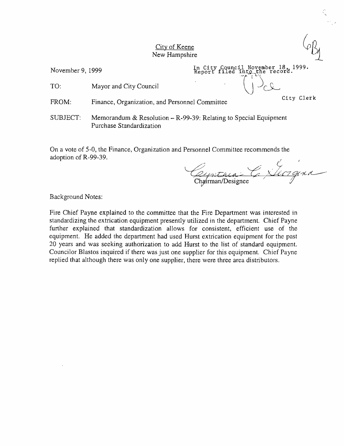#### City of Keene New Hampshire

November 9, 1999

In City Council November 18, 1999.<br>Report filed into the record. TO: Mayor and City Council  $\left(\begin{array}{c} \uparrow \\ \downarrow \end{array}\right)_{\subset \mathcal{L}}$ 

FROM: Finance, Organization, and Personnel Committee City Clerk

SUBJECT: Memorandum & Resolution - R-99-39: Relating to Special Equipment Purchase Standardization

On a vote of 5-0, the Finance, Organization and Personnel Committee recommends the adoption of R-99-39.

Cyrithia C XXI7 gina

Background Notes:

Fire Chief Payne explained to the committee that the Fire Department was interested in standardizing the extrication equipment presently utilized in the department. Chief Payne further explained that standardization allows for consistent, efficient use of the equipment. He added the department had used Hurst extrication equipment for the past 20 years and was seeking authorization to add Hurst to the list of standard equipment. Councilor Blastos inquired if there was just one supplier for this equipment. Chief Payne replied that although there was only one supplier, there were three area distributors.